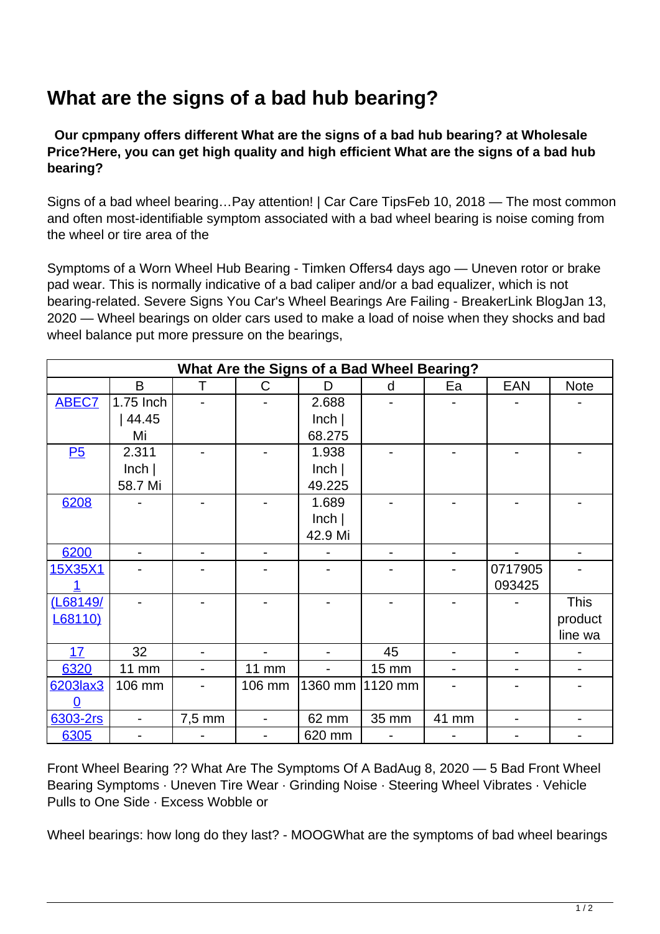## **What are the signs of a bad hub bearing?**

 **Our cpmpany offers different What are the signs of a bad hub bearing? at Wholesale Price?Here, you can get high quality and high efficient What are the signs of a bad hub bearing?**

Signs of a bad wheel bearing…Pay attention! | Car Care TipsFeb 10, 2018 — The most common and often most-identifiable symptom associated with a bad wheel bearing is noise coming from the wheel or tire area of the

Symptoms of a Worn Wheel Hub Bearing - Timken Offers4 days ago — Uneven rotor or brake pad wear. This is normally indicative of a bad caliper and/or a bad equalizer, which is not bearing-related. Severe Signs You Car's Wheel Bearings Are Failing - BreakerLink BlogJan 13, 2020 — Wheel bearings on older cars used to make a load of noise when they shocks and bad wheel balance put more pressure on the bearings,

| What Are the Signs of a Bad Wheel Bearing? |                          |        |                          |                   |              |       |         |                              |  |
|--------------------------------------------|--------------------------|--------|--------------------------|-------------------|--------------|-------|---------|------------------------------|--|
|                                            | B                        | Τ      | C                        | D                 | d            | Ea    | EAN     | <b>Note</b>                  |  |
| <b>ABEC7</b>                               | 1.75 Inch                |        |                          | 2.688             |              |       |         |                              |  |
|                                            | 44.45                    |        |                          | lnch              |              |       |         |                              |  |
|                                            | Mi                       |        |                          | 68.275            |              |       |         |                              |  |
| P5                                         | 2.311                    |        |                          | 1.938             |              |       |         |                              |  |
|                                            | lnch                     |        |                          | lnch              |              |       |         |                              |  |
|                                            | 58.7 Mi                  |        |                          | 49.225            |              |       |         |                              |  |
| 6208                                       |                          |        |                          | 1.689             |              |       |         |                              |  |
|                                            |                          |        |                          | lnch              |              |       |         |                              |  |
|                                            |                          |        |                          | 42.9 Mi           |              |       |         |                              |  |
| 6200                                       |                          |        |                          |                   | -            |       |         |                              |  |
| 15X35X1                                    |                          |        |                          |                   |              |       | 0717905 |                              |  |
|                                            |                          |        |                          |                   |              |       | 093425  |                              |  |
| (L68149/                                   |                          |        |                          |                   |              |       |         | <b>This</b>                  |  |
| L68110)                                    |                          |        |                          |                   |              |       |         | product                      |  |
|                                            |                          |        |                          |                   |              |       |         | line wa                      |  |
| 17                                         | 32                       |        |                          |                   | 45           |       |         |                              |  |
| 6320                                       | <b>11 mm</b>             |        | <b>11 mm</b>             |                   | <b>15 mm</b> |       |         |                              |  |
| 6203lax3                                   | 106 mm                   |        | 106 mm                   | 1360 mm   1120 mm |              |       |         |                              |  |
| 0                                          |                          |        |                          |                   |              |       |         |                              |  |
| 6303-2rs                                   | $\overline{\phantom{0}}$ | 7,5 mm | $\overline{\phantom{0}}$ | 62 mm             | 35 mm        | 41 mm | -       | $\qquad \qquad \blacksquare$ |  |
| 6305                                       |                          |        |                          | 620 mm            |              |       |         |                              |  |

Front Wheel Bearing ?? What Are The Symptoms Of A BadAug 8, 2020 — 5 Bad Front Wheel Bearing Symptoms · Uneven Tire Wear · Grinding Noise · Steering Wheel Vibrates · Vehicle Pulls to One Side · Excess Wobble or

Wheel bearings: how long do they last? - MOOGWhat are the symptoms of bad wheel bearings